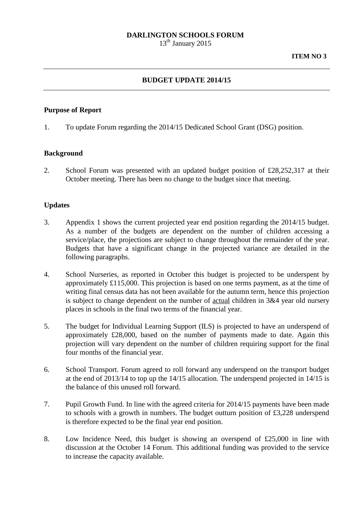## **DARLINGTON SCHOOLS FORUM**

13<sup>th</sup> January 2015

## **BUDGET UPDATE 2014/15**

## **Purpose of Report**

1. To update Forum regarding the 2014/15 Dedicated School Grant (DSG) position.

#### **Background**

2. School Forum was presented with an updated budget position of £28,252,317 at their October meeting. There has been no change to the budget since that meeting.

## **Updates**

- 3. Appendix 1 shows the current projected year end position regarding the 2014/15 budget. As a number of the budgets are dependent on the number of children accessing a service/place, the projections are subject to change throughout the remainder of the year. Budgets that have a significant change in the projected variance are detailed in the following paragraphs.
- 4. School Nurseries, as reported in October this budget is projected to be underspent by approximately £115,000. This projection is based on one terms payment, as at the time of writing final census data has not been available for the autumn term, hence this projection is subject to change dependent on the number of actual children in 3&4 year old nursery places in schools in the final two terms of the financial year.
- 5. The budget for Individual Learning Support (ILS) is projected to have an underspend of approximately £28,000, based on the number of payments made to date. Again this projection will vary dependent on the number of children requiring support for the final four months of the financial year.
- 6. School Transport. Forum agreed to roll forward any underspend on the transport budget at the end of 2013/14 to top up the 14/15 allocation. The underspend projected in 14/15 is the balance of this unused roll forward.
- 7. Pupil Growth Fund. In line with the agreed criteria for 2014/15 payments have been made to schools with a growth in numbers. The budget outturn position of £3,228 underspend is therefore expected to be the final year end position.
- 8. Low Incidence Need, this budget is showing an overspend of £25,000 in line with discussion at the October 14 Forum. This additional funding was provided to the service to increase the capacity available.